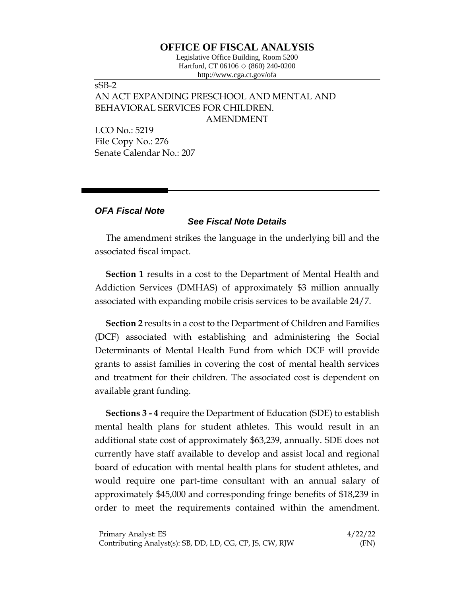## **OFFICE OF FISCAL ANALYSIS**

Legislative Office Building, Room 5200 Hartford, CT 06106  $\Diamond$  (860) 240-0200 http://www.cga.ct.gov/ofa

## sSB-2 AN ACT EXPANDING PRESCHOOL AND MENTAL AND BEHAVIORAL SERVICES FOR CHILDREN. AMENDMENT

LCO No.: 5219 File Copy No.: 276 Senate Calendar No.: 207

## *OFA Fiscal Note*

## *See Fiscal Note Details*

The amendment strikes the language in the underlying bill and the associated fiscal impact.

**Section 1** results in a cost to the Department of Mental Health and Addiction Services (DMHAS) of approximately \$3 million annually associated with expanding mobile crisis services to be available 24/7.

**Section 2** results in a cost to the Department of Children and Families (DCF) associated with establishing and administering the Social Determinants of Mental Health Fund from which DCF will provide grants to assist families in covering the cost of mental health services and treatment for their children. The associated cost is dependent on available grant funding.

**Sections 3 - 4** require the Department of Education (SDE) to establish mental health plans for student athletes. This would result in an additional state cost of approximately \$63,239, annually. SDE does not currently have staff available to develop and assist local and regional board of education with mental health plans for student athletes, and would require one part-time consultant with an annual salary of approximately \$45,000 and corresponding fringe benefits of \$18,239 in order to meet the requirements contained within the amendment.

| Primary Analyst: ES                                      | 4/22/22 |
|----------------------------------------------------------|---------|
| Contributing Analyst(s): SB, DD, LD, CG, CP, JS, CW, RJW | (FN)    |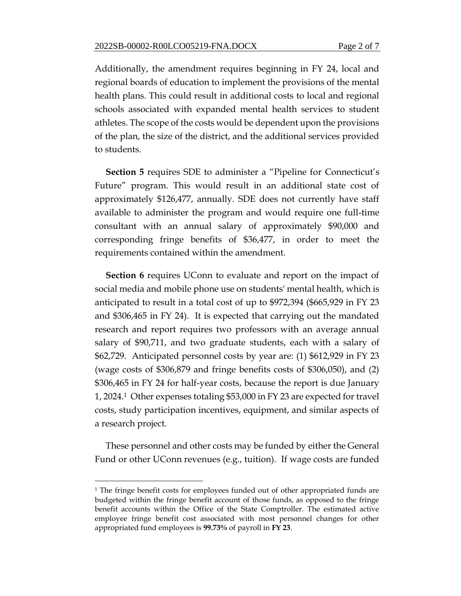Additionally, the amendment requires beginning in FY 24, local and regional boards of education to implement the provisions of the mental health plans. This could result in additional costs to local and regional schools associated with expanded mental health services to student athletes. The scope of the costs would be dependent upon the provisions of the plan, the size of the district, and the additional services provided to students.

**Section 5** requires SDE to administer a "Pipeline for Connecticut's Future" program. This would result in an additional state cost of approximately \$126,477, annually. SDE does not currently have staff available to administer the program and would require one full-time consultant with an annual salary of approximately \$90,000 and corresponding fringe benefits of \$36,477, in order to meet the requirements contained within the amendment.

**Section 6** requires UConn to evaluate and report on the impact of social media and mobile phone use on students' mental health, which is anticipated to result in a total cost of up to \$972,394 (\$665,929 in FY 23 and \$306,465 in FY 24). It is expected that carrying out the mandated research and report requires two professors with an average annual salary of \$90,711, and two graduate students, each with a salary of \$62,729. Anticipated personnel costs by year are: (1) \$612,929 in FY 23 (wage costs of \$306,879 and fringe benefits costs of \$306,050), and (2) \$306,465 in FY 24 for half-year costs, because the report is due January 1, 2024.1 Other expenses totaling \$53,000 in FY 23 are expected for travel costs, study participation incentives, equipment, and similar aspects of a research project.

These personnel and other costs may be funded by either the General Fund or other UConn revenues (e.g., tuition). If wage costs are funded

<sup>&</sup>lt;sup>1</sup> The fringe benefit costs for employees funded out of other appropriated funds are budgeted within the fringe benefit account of those funds, as opposed to the fringe benefit accounts within the Office of the State Comptroller. The estimated active employee fringe benefit cost associated with most personnel changes for other appropriated fund employees is **99.73%** of payroll in **FY 23**.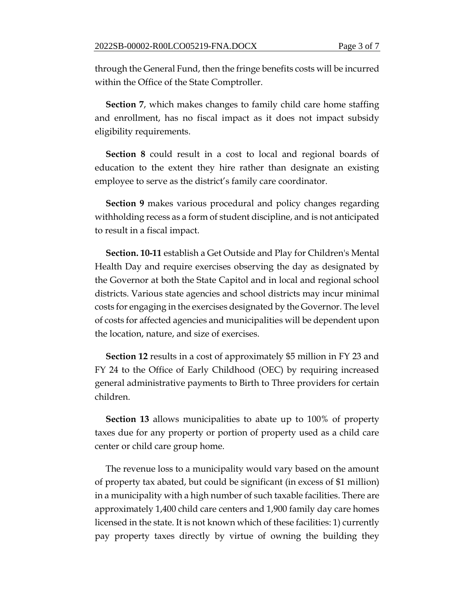through the General Fund, then the fringe benefits costs will be incurred within the Office of the State Comptroller.

**Section 7**, which makes changes to family child care home staffing and enrollment, has no fiscal impact as it does not impact subsidy eligibility requirements.

**Section 8** could result in a cost to local and regional boards of education to the extent they hire rather than designate an existing employee to serve as the district's family care coordinator.

**Section 9** makes various procedural and policy changes regarding withholding recess as a form of student discipline, and is not anticipated to result in a fiscal impact.

**Section. 10-11** establish a Get Outside and Play for Children's Mental Health Day and require exercises observing the day as designated by the Governor at both the State Capitol and in local and regional school districts. Various state agencies and school districts may incur minimal costs for engaging in the exercises designated by the Governor. The level of costs for affected agencies and municipalities will be dependent upon the location, nature, and size of exercises.

**Section 12** results in a cost of approximately \$5 million in FY 23 and FY 24 to the Office of Early Childhood (OEC) by requiring increased general administrative payments to Birth to Three providers for certain children.

**Section 13** allows municipalities to abate up to 100% of property taxes due for any property or portion of property used as a child care center or child care group home.

The revenue loss to a municipality would vary based on the amount of property tax abated, but could be significant (in excess of \$1 million) in a municipality with a high number of such taxable facilities. There are approximately 1,400 child care centers and 1,900 family day care homes licensed in the state. It is not known which of these facilities: 1) currently pay property taxes directly by virtue of owning the building they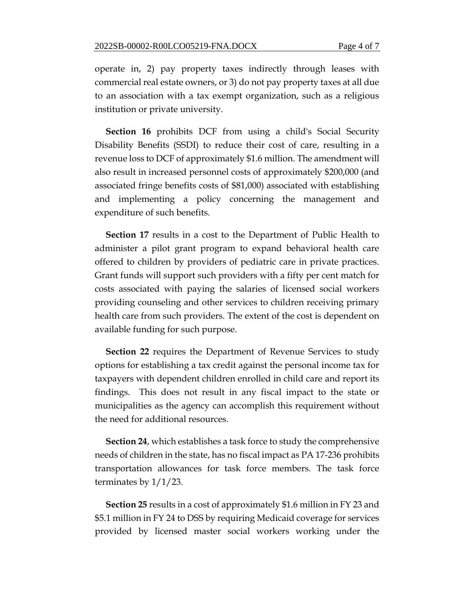operate in, 2) pay property taxes indirectly through leases with commercial real estate owners, or 3) do not pay property taxes at all due to an association with a tax exempt organization, such as a religious institution or private university.

**Section 16** prohibits DCF from using a child's Social Security Disability Benefits (SSDI) to reduce their cost of care, resulting in a revenue loss to DCF of approximately \$1.6 million. The amendment will also result in increased personnel costs of approximately \$200,000 (and associated fringe benefits costs of \$81,000) associated with establishing and implementing a policy concerning the management and expenditure of such benefits.

**Section 17** results in a cost to the Department of Public Health to administer a pilot grant program to expand behavioral health care offered to children by providers of pediatric care in private practices. Grant funds will support such providers with a fifty per cent match for costs associated with paying the salaries of licensed social workers providing counseling and other services to children receiving primary health care from such providers. The extent of the cost is dependent on available funding for such purpose.

**Section 22** requires the Department of Revenue Services to study options for establishing a tax credit against the personal income tax for taxpayers with dependent children enrolled in child care and report its findings. This does not result in any fiscal impact to the state or municipalities as the agency can accomplish this requirement without the need for additional resources.

**Section 24**, which establishes a task force to study the comprehensive needs of children in the state, has no fiscal impact as PA 17-236 prohibits transportation allowances for task force members. The task force terminates by 1/1/23.

**Section 25** results in a cost of approximately \$1.6 million in FY 23 and \$5.1 million in FY 24 to DSS by requiring Medicaid coverage for services provided by licensed master social workers working under the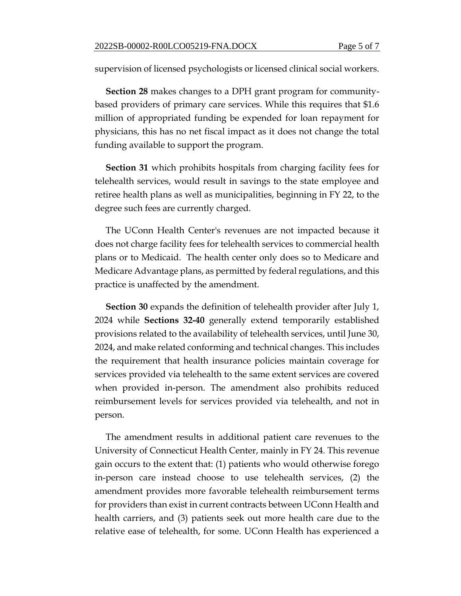supervision of licensed psychologists or licensed clinical social workers.

**Section 28** makes changes to a DPH grant program for communitybased providers of primary care services. While this requires that \$1.6 million of appropriated funding be expended for loan repayment for physicians, this has no net fiscal impact as it does not change the total funding available to support the program.

**Section 31** which prohibits hospitals from charging facility fees for telehealth services, would result in savings to the state employee and retiree health plans as well as municipalities, beginning in FY 22, to the degree such fees are currently charged.

The UConn Health Center's revenues are not impacted because it does not charge facility fees for telehealth services to commercial health plans or to Medicaid. The health center only does so to Medicare and Medicare Advantage plans, as permitted by federal regulations, and this practice is unaffected by the amendment.

**Section 30** expands the definition of telehealth provider after July 1, 2024 while **Sections 32-40** generally extend temporarily established provisions related to the availability of telehealth services, until June 30, 2024, and make related conforming and technical changes. This includes the requirement that health insurance policies maintain coverage for services provided via telehealth to the same extent services are covered when provided in-person. The amendment also prohibits reduced reimbursement levels for services provided via telehealth, and not in person.

The amendment results in additional patient care revenues to the University of Connecticut Health Center, mainly in FY 24. This revenue gain occurs to the extent that: (1) patients who would otherwise forego in-person care instead choose to use telehealth services, (2) the amendment provides more favorable telehealth reimbursement terms for providers than exist in current contracts between UConn Health and health carriers, and (3) patients seek out more health care due to the relative ease of telehealth, for some. UConn Health has experienced a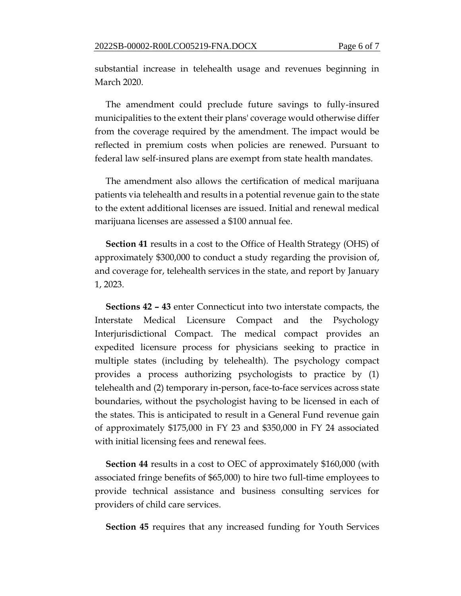substantial increase in telehealth usage and revenues beginning in March 2020.

The amendment could preclude future savings to fully-insured municipalities to the extent their plans' coverage would otherwise differ from the coverage required by the amendment. The impact would be reflected in premium costs when policies are renewed. Pursuant to federal law self-insured plans are exempt from state health mandates.

The amendment also allows the certification of medical marijuana patients via telehealth and results in a potential revenue gain to the state to the extent additional licenses are issued. Initial and renewal medical marijuana licenses are assessed a \$100 annual fee.

**Section 41** results in a cost to the Office of Health Strategy (OHS) of approximately \$300,000 to conduct a study regarding the provision of, and coverage for, telehealth services in the state, and report by January 1, 2023.

**Sections 42 – 43** enter Connecticut into two interstate compacts, the Interstate Medical Licensure Compact and the Psychology Interjurisdictional Compact. The medical compact provides an expedited licensure process for physicians seeking to practice in multiple states (including by telehealth). The psychology compact provides a process authorizing psychologists to practice by (1) telehealth and (2) temporary in-person, face-to-face services across state boundaries, without the psychologist having to be licensed in each of the states. This is anticipated to result in a General Fund revenue gain of approximately \$175,000 in FY 23 and \$350,000 in FY 24 associated with initial licensing fees and renewal fees.

**Section 44** results in a cost to OEC of approximately \$160,000 (with associated fringe benefits of \$65,000) to hire two full-time employees to provide technical assistance and business consulting services for providers of child care services.

**Section 45** requires that any increased funding for Youth Services